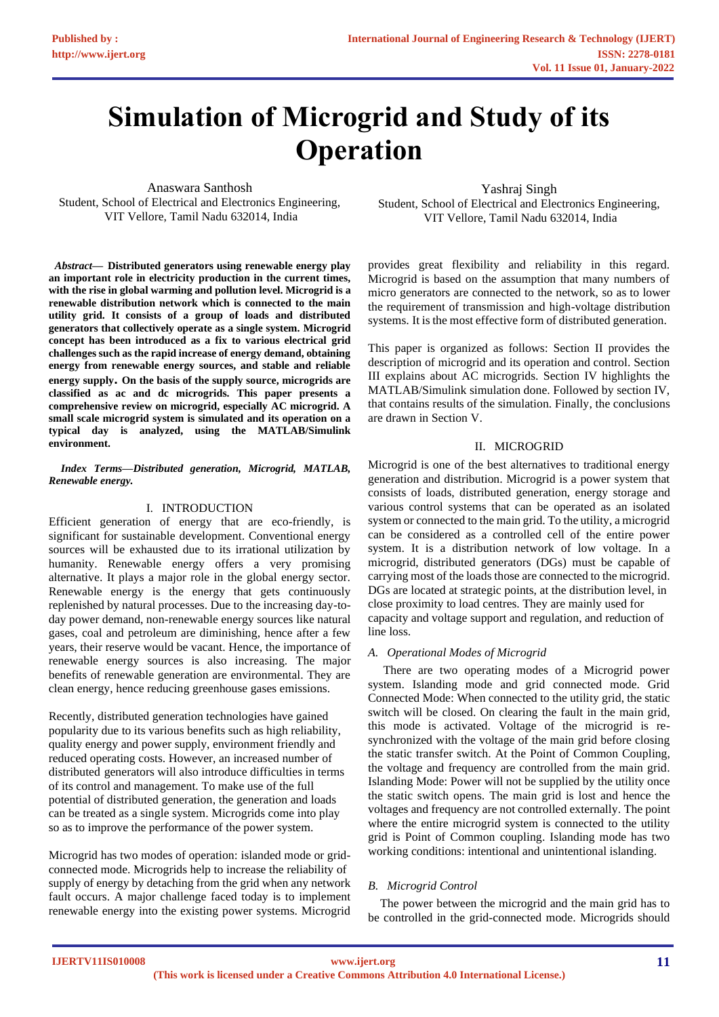# **Simulation of Microgrid and Study of its Operation**

Anaswara Santhosh Student, School of Electrical and Electronics Engineering, VIT Vellore, Tamil Nadu 632014, India

 *Abstract***— Distributed generators using renewable energy play an important role in electricity production in the current times, with the rise in global warming and pollution level. Microgrid is a renewable distribution network which is connected to the main utility grid. It consists of a group of loads and distributed generators that collectively operate as a single system. Microgrid concept has been introduced as a fix to various electrical grid challenges such as the rapid increase of energy demand, obtaining energy from renewable energy sources, and stable and reliable energy supply. On the basis of the supply source, microgrids are classified as ac and dc microgrids. This paper presents a comprehensive review on microgrid, especially AC microgrid. A small scale microgrid system is simulated and its operation on a typical day is analyzed, using the MATLAB/Simulink environment.**

#### *Index Terms—Distributed generation, Microgrid, MATLAB, Renewable energy.*

# I. INTRODUCTION

Efficient generation of energy that are eco-friendly, is significant for sustainable development. Conventional energy sources will be exhausted due to its irrational utilization by humanity. Renewable energy offers a very promising alternative. It plays a major role in the global energy sector. Renewable energy is the energy that gets continuously replenished by natural processes. Due to the increasing day-today power demand, non-renewable energy sources like natural gases, coal and petroleum are diminishing, hence after a few years, their reserve would be vacant. Hence, the importance of renewable energy sources is also increasing. The major benefits of renewable generation are environmental. They are clean energy, hence reducing greenhouse gases emissions.

Recently, distributed generation technologies have gained popularity due to its various benefits such as high reliability, quality energy and power supply, environment friendly and reduced operating costs. However, an increased number of distributed generators will also introduce difficulties in terms of its control and management. To make use of the full potential of distributed generation, the generation and loads can be treated as a single system. Microgrids come into play so as to improve the performance of the power system.

Microgrid has two modes of operation: islanded mode or gridconnected mode. Microgrids help to increase the reliability of supply of energy by detaching from the grid when any network fault occurs. A major challenge faced today is to implement renewable energy into the existing power systems. Microgrid

Yashraj Singh Student, School of Electrical and Electronics Engineering, VIT Vellore, Tamil Nadu 632014, India

provides great flexibility and reliability in this regard. Microgrid is based on the assumption that many numbers of micro generators are connected to the network, so as to lower the requirement of transmission and high-voltage distribution systems. It is the most effective form of distributed generation.

This paper is organized as follows: Section II provides the description of microgrid and its operation and control. Section III explains about AC microgrids. Section IV highlights the MATLAB/Simulink simulation done. Followed by section IV, that contains results of the simulation. Finally, the conclusions are drawn in Section V.

# II. MICROGRID

Microgrid is one of the best alternatives to traditional energy generation and distribution. Microgrid is a power system that consists of loads, distributed generation, energy storage and various control systems that can be operated as an isolated system or connected to the main grid. To the utility, a microgrid can be considered as a controlled cell of the entire power system. It is a distribution network of low voltage. In a microgrid, distributed generators (DGs) must be capable of carrying most of the loads those are connected to the microgrid. DGs are located at strategic points, at the distribution level, in close proximity to load centres. They are mainly used for capacity and voltage support and regulation, and reduction of line loss.

# *A. Operational Modes of Microgrid*

 There are two operating modes of a Microgrid power system. Islanding mode and grid connected mode. Grid Connected Mode: When connected to the utility grid, the static switch will be closed. On clearing the fault in the main grid, this mode is activated. Voltage of the microgrid is resynchronized with the voltage of the main grid before closing the static transfer switch. At the Point of Common Coupling, the voltage and frequency are controlled from the main grid. Islanding Mode: Power will not be supplied by the utility once the static switch opens. The main grid is lost and hence the voltages and frequency are not controlled externally. The point where the entire microgrid system is connected to the utility grid is Point of Common coupling. Islanding mode has two working conditions: intentional and unintentional islanding.

# *B. Microgrid Control*

The power between the microgrid and the main grid has to be controlled in the grid-connected mode. Microgrids should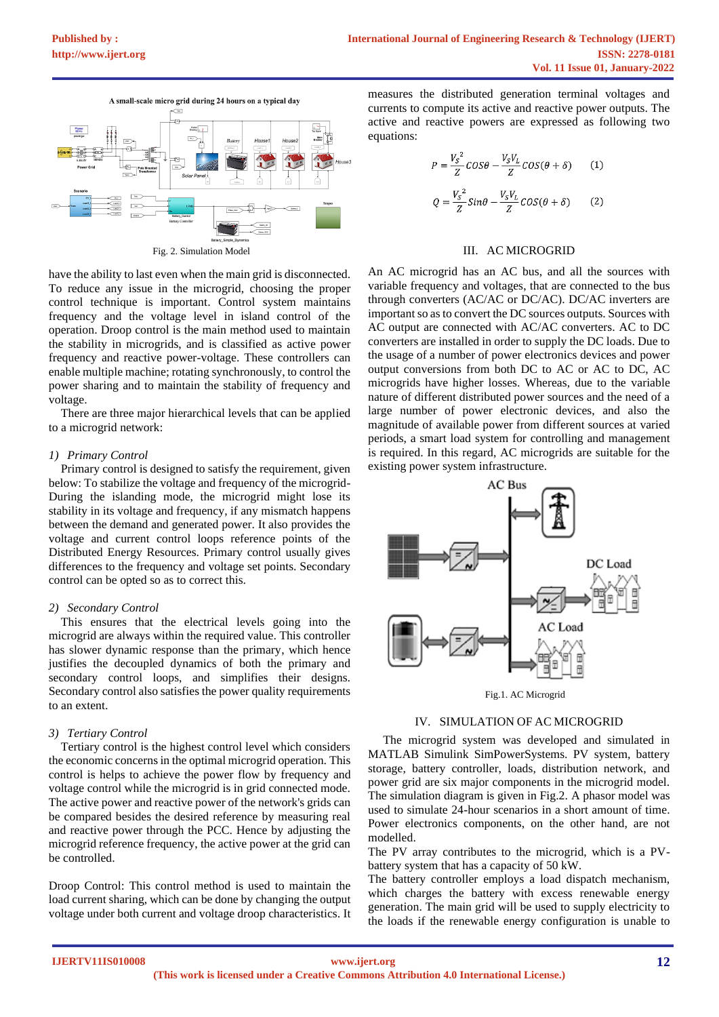

Fig. 2. Simulation Model

have the ability to last even when the main grid is disconnected. To reduce any issue in the microgrid, choosing the proper control technique is important. Control system maintains frequency and the voltage level in island control of the operation. Droop control is the main method used to maintain the stability in microgrids, and is classified as active power frequency and reactive power-voltage. These controllers can enable multiple machine; rotating synchronously, to control the power sharing and to maintain the stability of frequency and voltage.

There are three major hierarchical levels that can be applied to a microgrid network:

#### *1) Primary Control*

 Primary control is designed to satisfy the requirement, given below: To stabilize the voltage and frequency of the microgrid-During the islanding mode, the microgrid might lose its stability in its voltage and frequency, if any mismatch happens between the demand and generated power. It also provides the voltage and current control loops reference points of the Distributed Energy Resources. Primary control usually gives differences to the frequency and voltage set points. Secondary control can be opted so as to correct this.

#### *2) Secondary Control*

 This ensures that the electrical levels going into the microgrid are always within the required value. This controller has slower dynamic response than the primary, which hence justifies the decoupled dynamics of both the primary and secondary control loops, and simplifies their designs. Secondary control also satisfies the power quality requirements to an extent.

## *3) Tertiary Control*

Tertiary control is the highest control level which considers the economic concerns in the optimal microgrid operation. This control is helps to achieve the power flow by frequency and voltage control while the microgrid is in grid connected mode. The active power and reactive power of the network's grids can be compared besides the desired reference by measuring real and reactive power through the PCC. Hence by adjusting the microgrid reference frequency, the active power at the grid can be controlled.

Droop Control: This control method is used to maintain the load current sharing, which can be done by changing the output voltage under both current and voltage droop characteristics. It

measures the distributed generation terminal voltages and currents to compute its active and reactive power outputs. The active and reactive powers are expressed as following two equations:

$$
P = \frac{V_S^2}{Z} \cos\theta - \frac{V_S V_L}{Z} \cos(\theta + \delta)
$$
 (1)  

$$
Q = \frac{V_S^2}{Z} \sin\theta - \frac{V_S V_L}{Z} \cos(\theta + \delta)
$$
 (2)

#### III. AC MICROGRID

An AC microgrid has an AC bus, and all the sources with variable frequency and voltages, that are connected to the bus through converters (AC/AC or DC/AC). DC/AC inverters are important so as to convert the DC sources outputs. Sources with AC output are connected with AC/AC converters. AC to DC converters are installed in order to supply the DC loads. Due to the usage of a number of power electronics devices and power output conversions from both DC to AC or AC to DC, AC microgrids have higher losses. Whereas, due to the variable nature of different distributed power sources and the need of a large number of power electronic devices, and also the magnitude of available power from different sources at varied periods, a smart load system for controlling and management is required. In this regard, AC microgrids are suitable for the existing power system infrastructure*.*



Fig.1. AC Microgrid

#### IV. SIMULATION OF AC MICROGRID

 The microgrid system was developed and simulated in MATLAB Simulink SimPowerSystems. PV system, battery storage, battery controller, loads, distribution network, and power grid are six major components in the microgrid model. The simulation diagram is given in Fig.2. A phasor model was used to simulate 24-hour scenarios in a short amount of time. Power electronics components, on the other hand, are not modelled.

The PV array contributes to the microgrid, which is a PVbattery system that has a capacity of 50 kW.

The battery controller employs a load dispatch mechanism, which charges the battery with excess renewable energy generation. The main grid will be used to supply electricity to the loads if the renewable energy configuration is unable to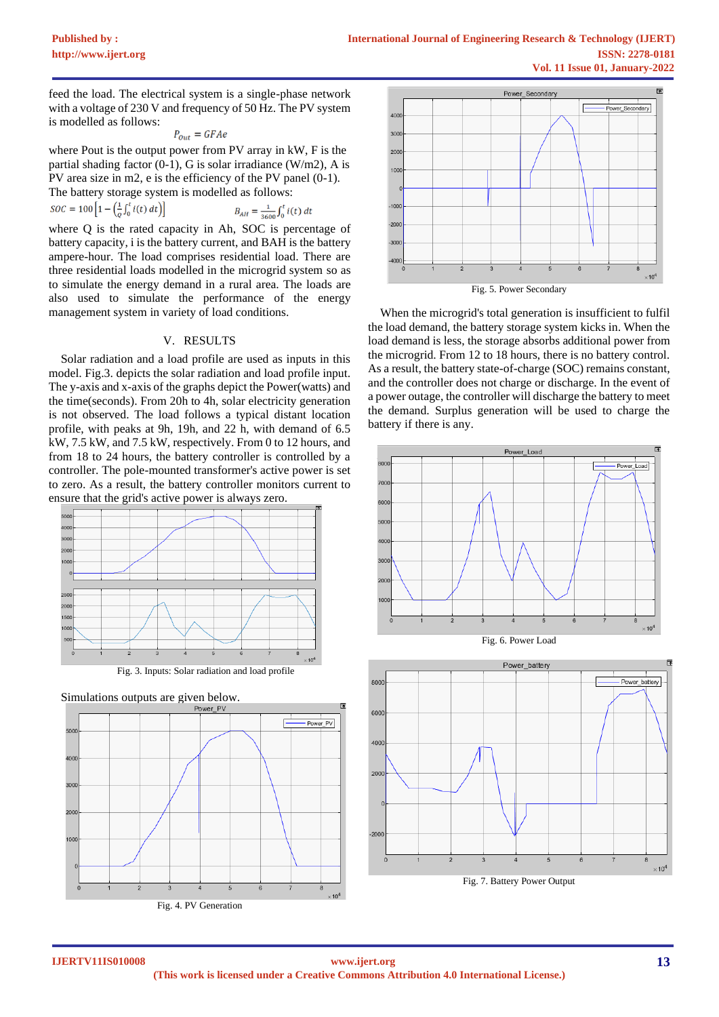feed the load. The electrical system is a single-phase network with a voltage of 230 V and frequency of 50 Hz. The PV system is modelled as follows:

$$
P_{out} = GFAe
$$

where Pout is the output power from PV array in kW, F is the partial shading factor  $(0-1)$ , G is solar irradiance  $(W/m2)$ , A is PV area size in m2, e is the efficiency of the PV panel (0-1). The battery storage system is modelled as follows:

$$
SOC = 100 \left[ 1 - \left( \frac{1}{Q} \int_0^t i(t) \, dt \right) \right]
$$
\n
$$
B_{AH} = \frac{1}{3600} \int_0^t i(t) \, dt
$$

where Q is the rated capacity in Ah, SOC is percentage of battery capacity, i is the battery current, and BAH is the battery ampere-hour. The load comprises residential load. There are three residential loads modelled in the microgrid system so as to simulate the energy demand in a rural area. The loads are also used to simulate the performance of the energy management system in variety of load conditions.

# V. RESULTS

Solar radiation and a load profile are used as inputs in this model. Fig.3. depicts the solar radiation and load profile input. The y-axis and x-axis of the graphs depict the Power(watts) and the time(seconds). From 20h to 4h, solar electricity generation is not observed. The load follows a typical distant location profile, with peaks at 9h, 19h, and 22 h, with demand of 6.5 kW, 7.5 kW, and 7.5 kW, respectively. From 0 to 12 hours, and from 18 to 24 hours, the battery controller is controlled by a controller. The pole-mounted transformer's active power is set to zero. As a result, the battery controller monitors current to ensure that the grid's active power is always zero.









Fig. 5. Power Secondary

When the microgrid's total generation is insufficient to fulfil the load demand, the battery storage system kicks in. When the load demand is less, the storage absorbs additional power from the microgrid. From 12 to 18 hours, there is no battery control. As a result, the battery state-of-charge (SOC) remains constant, and the controller does not charge or discharge. In the event of a power outage, the controller will discharge the battery to meet the demand. Surplus generation will be used to charge the battery if there is any.